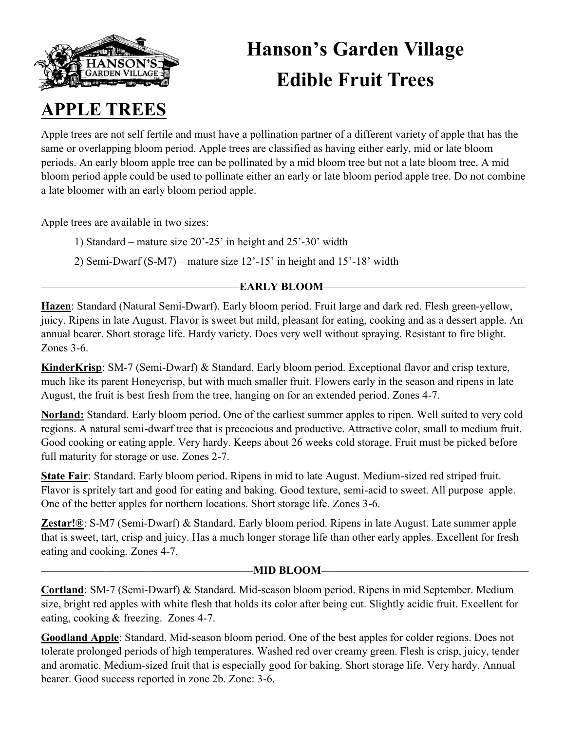

# **Hanson's Garden Village Edible Fruit Trees**

### **APPLE TREES**

Apple trees are not self fertile and must have a pollination partner of a different variety of apple that has the same or overlapping bloom period. Apple trees are classified as having either early, mid or late bloom periods. An early bloom apple tree can be pollinated by a mid bloom tree but not a late bloom tree. A mid bloom period apple could be used to pollinate either an early or late bloom period apple tree. Do not combine a late bloomer with an early bloom period apple.

Apple trees are available in two sizes:

1) Standard – mature size 20'-25' in height and 25'-30' width

2) Semi-Dwarf (S-M7) – mature size 12'-15' in height and 15'-18' width

### —————————————————————–**EARLY BLOOM**——————————————————————

**Hazen**: Standard (Natural Semi-Dwarf). Early bloom period. Fruit large and dark red. Flesh green-yellow, juicy. Ripens in late August. Flavor is sweet but mild, pleasant for eating, cooking and as a dessert apple. An annual bearer. Short storage life. Hardy variety. Does very well without spraying. Resistant to fire blight. Zones 3-6.

**KinderKrisp**: SM-7 (Semi-Dwarf) & Standard. Early bloom period. Exceptional flavor and crisp texture, much like its parent Honeycrisp, but with much smaller fruit. Flowers early in the season and ripens in late August, the fruit is best fresh from the tree, hanging on for an extended period. Zones 4-7.

**Norland:** Standard. Early bloom period. One of the earliest summer apples to ripen. Well suited to very cold regions. A natural semi-dwarf tree that is precocious and productive. Attractive color, small to medium fruit. Good cooking or eating apple. Very hardy. Keeps about 26 weeks cold storage. Fruit must be picked before full maturity for storage or use. Zones 2-7.

**State Fair**: Standard. Early bloom period. Ripens in mid to late August. Medium-sized red striped fruit. Flavor is spritely tart and good for eating and baking. Good texture, semi-acid to sweet. All purpose apple. One of the better apples for northern locations. Short storage life. Zones 3-6.

**Zestar!®**: S-M7 (Semi-Dwarf) & Standard. Early bloom period. Ripens in late August. Late summer apple that is sweet, tart, crisp and juicy. Has a much longer storage life than other early apples. Excellent for fresh eating and cooking. Zones 4-7.

### ———————————————————————**MID BLOOM**—–—————————————————————

**Cortland**: SM-7 (Semi-Dwarf) & Standard. Mid-season bloom period. Ripens in mid September. Medium size, bright red apples with white flesh that holds its color after being cut. Slightly acidic fruit. Excellent for eating, cooking & freezing. Zones 4-7.

**Goodland Apple**: Standard. Mid-season bloom period. One of the best apples for colder regions. Does not tolerate prolonged periods of high temperatures. Washed red over creamy green. Flesh is crisp, juicy, tender and aromatic. Medium-sized fruit that is especially good for baking. Short storage life. Very hardy. Annual bearer. Good success reported in zone 2b. Zone: 3-6.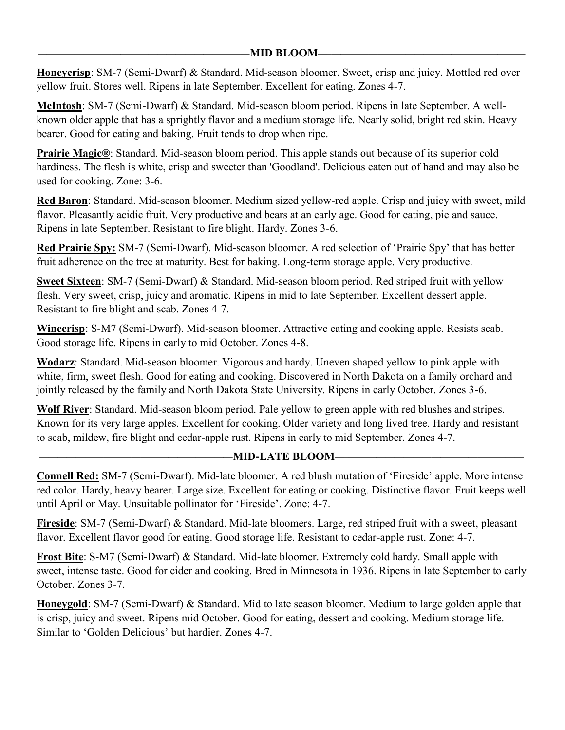#### ———————————————————————**MID BLOOM**—–—————————————————————

**Honeycrisp**: SM-7 (Semi-Dwarf) & Standard. Mid-season bloomer. Sweet, crisp and juicy. Mottled red over yellow fruit. Stores well. Ripens in late September. Excellent for eating. Zones 4-7.

**McIntosh**: SM-7 (Semi-Dwarf) & Standard. Mid-season bloom period. Ripens in late September. A wellknown older apple that has a sprightly flavor and a medium storage life. Nearly solid, bright red skin. Heavy bearer. Good for eating and baking. Fruit tends to drop when ripe.

**Prairie Magic®**: Standard. Mid-season bloom period. This apple stands out because of its superior cold hardiness. The flesh is white, crisp and sweeter than 'Goodland'. Delicious eaten out of hand and may also be used for cooking. Zone: 3-6.

**Red Baron**: Standard. Mid-season bloomer. Medium sized yellow-red apple. Crisp and juicy with sweet, mild flavor. Pleasantly acidic fruit. Very productive and bears at an early age. Good for eating, pie and sauce. Ripens in late September. Resistant to fire blight. Hardy. Zones 3-6.

**Red Prairie Spy:** SM-7 (Semi-Dwarf). Mid-season bloomer. A red selection of 'Prairie Spy' that has better fruit adherence on the tree at maturity. Best for baking. Long-term storage apple. Very productive.

**Sweet Sixteen**: SM-7 (Semi-Dwarf) & Standard. Mid-season bloom period. Red striped fruit with yellow flesh. Very sweet, crisp, juicy and aromatic. Ripens in mid to late September. Excellent dessert apple. Resistant to fire blight and scab. Zones 4-7.

**Winecrisp**: S-M7 (Semi-Dwarf). Mid-season bloomer. Attractive eating and cooking apple. Resists scab. Good storage life. Ripens in early to mid October. Zones 4-8.

**Wodarz**: Standard. Mid-season bloomer. Vigorous and hardy. Uneven shaped yellow to pink apple with white, firm, sweet flesh. Good for eating and cooking. Discovered in North Dakota on a family orchard and jointly released by the family and North Dakota State University. Ripens in early October. Zones 3-6.

**Wolf River**: Standard. Mid-season bloom period. Pale yellow to green apple with red blushes and stripes. Known for its very large apples. Excellent for cooking. Older variety and long lived tree. Hardy and resistant to scab, mildew, fire blight and cedar-apple rust. Ripens in early to mid September. Zones 4-7.

### —————————————————————**MID-LATE BLOOM**—–———————————————————

**Connell Red:** SM-7 (Semi-Dwarf). Mid-late bloomer. A red blush mutation of 'Fireside' apple. More intense red color. Hardy, heavy bearer. Large size. Excellent for eating or cooking. Distinctive flavor. Fruit keeps well until April or May. Unsuitable pollinator for 'Fireside'. Zone: 4-7.

**Fireside**: SM-7 (Semi-Dwarf) & Standard. Mid-late bloomers. Large, red striped fruit with a sweet, pleasant flavor. Excellent flavor good for eating. Good storage life. Resistant to cedar-apple rust. Zone: 4-7.

**Frost Bite**: S-M7 (Semi-Dwarf) & Standard. Mid-late bloomer. Extremely cold hardy. Small apple with sweet, intense taste. Good for cider and cooking. Bred in Minnesota in 1936. Ripens in late September to early October. Zones 3-7.

**Honeygold**: SM-7 (Semi-Dwarf) & Standard. Mid to late season bloomer. Medium to large golden apple that is crisp, juicy and sweet. Ripens mid October. Good for eating, dessert and cooking. Medium storage life. Similar to 'Golden Delicious' but hardier. Zones 4-7.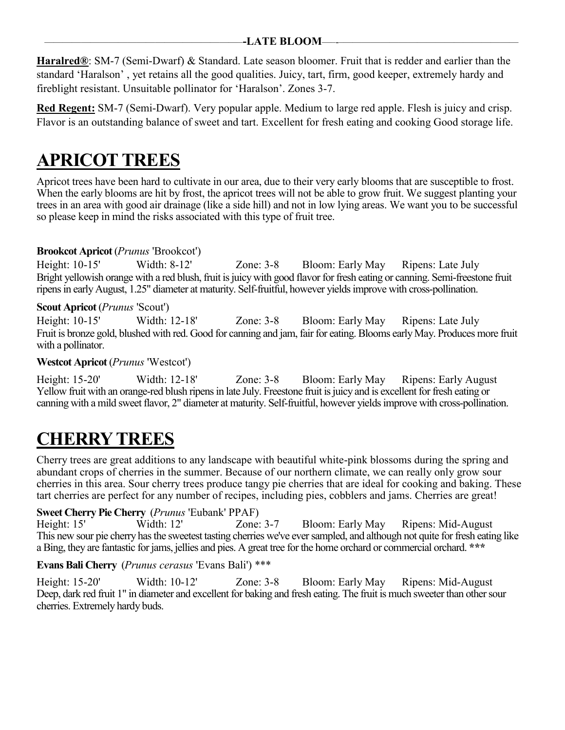#### —————————————————————–**-LATE BLOOM**—–-–———————————————————

**Haralred®**: SM-7 (Semi-Dwarf) & Standard. Late season bloomer. Fruit that is redder and earlier than the standard 'Haralson' , yet retains all the good qualities. Juicy, tart, firm, good keeper, extremely hardy and fireblight resistant. Unsuitable pollinator for 'Haralson'. Zones 3-7.

**Red Regent:** SM-7 (Semi-Dwarf). Very popular apple. Medium to large red apple. Flesh is juicy and crisp. Flavor is an outstanding balance of sweet and tart. Excellent for fresh eating and cooking Good storage life.

### **APRICOT TREES**

Apricot trees have been hard to cultivate in our area, due to their very early blooms that are susceptible to frost. When the early blooms are hit by frost, the apricot trees will not be able to grow fruit. We suggest planting your trees in an area with good air drainage (like a side hill) and not in low lying areas. We want you to be successful so please keep in mind the risks associated with this type of fruit tree.

### **Brookcot Apricot** (*Prunus* 'Brookcot')

Height: 10-15' Width: 8-12' Zone: 3-8 Bloom: Early May Ripens: Late July Bright yellowish orange with a red blush, fruit is juicy with good flavor for fresh eating or canning. Semi-freestone fruit ripens in early August, 1.25" diameter at maturity. Self-fruitful, however yields improve with cross-pollination.

### **Scout Apricot** (*Prunus* 'Scout')

Height: 10-15' Width: 12-18' Zone: 3-8 Bloom: Early May Ripens: Late July Fruit is bronze gold, blushed with red. Good for canning and jam, fair for eating. Blooms early May. Produces more fruit with a pollinator.

### **Westcot Apricot** (*Prunus* 'Westcot')

Height: 15-20' Width: 12-18' Zone: 3-8 Bloom: Early May Ripens: Early August Yellow fruit with an orange-red blush ripens in late July. Freestone fruit is juicy and is excellent for fresh eating or canning with a mild sweet flavor, 2" diameter at maturity. Self-fruitful, however yields improve with cross-pollination.

### **CHERRY TREES**

Cherry trees are great additions to any landscape with beautiful white-pink blossoms during the spring and abundant crops of cherries in the summer. Because of our northern climate, we can really only grow sour cherries in this area. Sour cherry trees produce tangy pie cherries that are ideal for cooking and baking. These tart cherries are perfect for any number of recipes, including pies, cobblers and jams. Cherries are great!

### **Sweet Cherry Pie Cherry** (*Prunus* 'Eubank' PPAF)

Height: 15' Width: 12' Zone: 3-7 Bloom: Early May Ripens: Mid-August This new sour pie cherry has the sweetest tasting cherries we've ever sampled, and although not quite for fresh eating like a Bing, they are fantastic for jams, jellies and pies. A great tree for the home orchard or commercial orchard. **\*\*\***

### **Evans Bali Cherry** (*Prunus cerasus* 'Evans Bali') \*\*\*

Height: 15-20' Width: 10-12' Zone: 3-8 Bloom: Early May Ripens: Mid-August Deep, dark red fruit 1" in diameter and excellent for baking and fresh eating. The fruit is much sweeter than other sour cherries. Extremely hardy buds.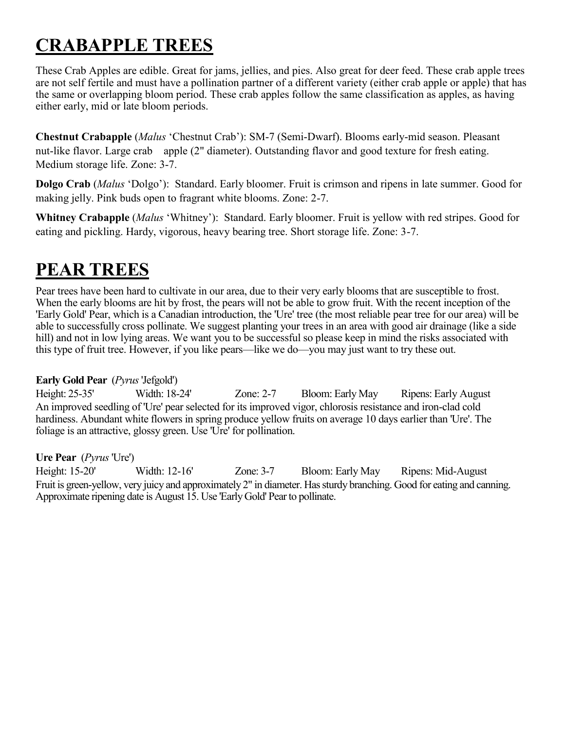# **CRABAPPLE TREES**

These Crab Apples are edible. Great for jams, jellies, and pies. Also great for deer feed. These crab apple trees are not self fertile and must have a pollination partner of a different variety (either crab apple or apple) that has the same or overlapping bloom period. These crab apples follow the same classification as apples, as having either early, mid or late bloom periods.

**Chestnut Crabapple** (*Malus* 'Chestnut Crab'): SM-7 (Semi-Dwarf). Blooms early-mid season. Pleasant nut-like flavor. Large crab apple (2" diameter). Outstanding flavor and good texture for fresh eating. Medium storage life. Zone: 3-7.

**Dolgo Crab** (*Malus* 'Dolgo'): Standard. Early bloomer. Fruit is crimson and ripens in late summer. Good for making jelly. Pink buds open to fragrant white blooms. Zone: 2-7.

**Whitney Crabapple** (*Malus* 'Whitney'): Standard. Early bloomer. Fruit is yellow with red stripes. Good for eating and pickling. Hardy, vigorous, heavy bearing tree. Short storage life. Zone: 3-7.

### **PEAR TREES**

Pear trees have been hard to cultivate in our area, due to their very early blooms that are susceptible to frost. When the early blooms are hit by frost, the pears will not be able to grow fruit. With the recent inception of the 'Early Gold' Pear, which is a Canadian introduction, the 'Ure' tree (the most reliable pear tree for our area) will be able to successfully cross pollinate. We suggest planting your trees in an area with good air drainage (like a side hill) and not in low lying areas. We want you to be successful so please keep in mind the risks associated with this type of fruit tree. However, if you like pears—like we do—you may just want to try these out.

### **Early Gold Pear** (*Pyrus*'Jefgold')

Height: 25-35' Width: 18-24' Zone: 2-7 Bloom: Early May Ripens: Early August An improved seedling of 'Ure' pear selected for its improved vigor, chlorosis resistance and iron-clad cold hardiness. Abundant white flowers in spring produce yellow fruits on average 10 days earlier than 'Ure'. The foliage is an attractive, glossy green. Use 'Ure' for pollination.

### **Ure Pear** (*Pyrus* 'Ure')

Height: 15-20' Width: 12-16' Zone: 3-7 Bloom: Early May Ripens: Mid-August Fruit is green-yellow, very juicy and approximately 2" in diameter. Has sturdy branching. Good for eating and canning. Approximate ripening date is August 15. Use 'Early Gold' Pear to pollinate.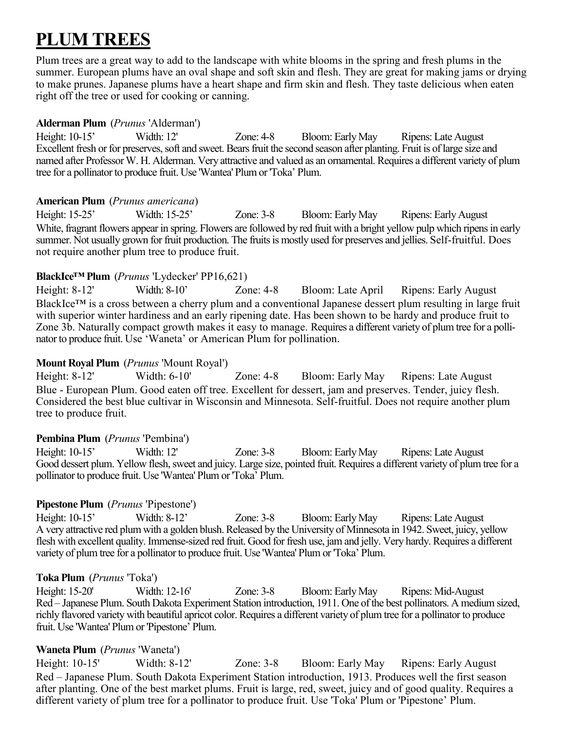### **PLUM TREES**

Plum trees are a great way to add to the landscape with white blooms in the spring and fresh plums in the summer. European plums have an oval shape and soft skin and flesh. They are great for making jams or drying to make prunes. Japanese plums have a heart shape and firm skin and flesh. They taste delicious when eaten right off the tree or used for cooking or canning.

### **Alderman Plum** (*Prunus* 'Alderman')

Height: 10-15' Width: 12' Zone: 4-8 Bloom: Early May Ripens: Late August Excellent fresh or for preserves, soft and sweet. Bears fruit the second season after planting. Fruit is of large size and named after Professor W. H. Alderman. Very attractive and valued as an ornamental. Requires a different variety of plum tree for a pollinator to produce fruit. Use 'Wantea' Plum or 'Toka' Plum.

### **American Plum** (*Prunus americana*)

Height: 15-25' Width: 15-25' Zone: 3-8 Bloom: Early May Ripens: Early August White, fragrant flowers appear in spring. Flowers are followed by red fruit with a bright yellow pulp which ripens in early summer. Not usually grown for fruit production. The fruits is mostly used for preserves and jellies. Self-fruitful. Does not require another plum tree to produce fruit.

### **BlackIce™ Plum** (*Prunus* 'Lydecker' PP16,621)

Height: 8-12' Width: 8-10' Zone: 4-8 Bloom: Late April Ripens: Early August BlackIce™ is a cross between a cherry plum and a conventional Japanese dessert plum resulting in large fruit with superior winter hardiness and an early ripening date. Has been shown to be hardy and produce fruit to Zone 3b. Naturally compact growth makes it easy to manage. Requires a different variety of plum tree for a pollinator to produce fruit. Use 'Waneta' or American Plum for pollination.

### **Mount Royal Plum** (*Prunus* 'Mount Royal')

Height: 8-12' Width: 6-10' Zone: 4-8 Bloom: Early May Ripens: Late August Blue - European Plum. Good eaten off tree. Excellent for dessert, jam and preserves. Tender, juicy flesh. Considered the best blue cultivar in Wisconsin and Minnesota. Self-fruitful. Does not require another plum tree to produce fruit.

### **Pembina Plum** (*Prunus* 'Pembina')

Height: 10-15' Width: 12' Zone: 3-8 Bloom: Early May Ripens: Late August Good dessert plum. Yellow flesh, sweet and juicy. Large size, pointed fruit. Requires a different variety of plum tree for a pollinator to produce fruit. Use 'Wantea' Plum or 'Toka' Plum.

### **Pipestone Plum** (*Prunus* 'Pipestone')

Height: 10-15' Width: 8-12' Zone: 3-8 Bloom: Early May Ripens: Late August A very attractive red plum with a golden blush. Released by the University of Minnesota in 1942. Sweet, juicy, yellow flesh with excellent quality. Immense-sized red fruit. Good for fresh use, jam and jelly. Very hardy. Requires a different variety of plum tree for a pollinator to produce fruit. Use 'Wantea' Plum or 'Toka' Plum.

### **Toka Plum** (*Prunus* 'Toka')

Height: 15-20' Width: 12-16' Zone: 3-8 Bloom: Early May Ripens: Mid-August Red – Japanese Plum. South Dakota Experiment Station introduction, 1911. One of the best pollinators. A medium sized, richly flavored variety with beautiful apricot color. Requires a different variety of plum tree for a pollinator to produce fruit. Use 'Wantea' Plum or 'Pipestone' Plum.

### **Waneta Plum** (*Prunus* 'Waneta')

Height: 10-15' Width: 8-12' Zone: 3-8 Bloom: Early May Ripens: Early August Red – Japanese Plum. South Dakota Experiment Station introduction, 1913. Produces well the first season after planting. One of the best market plums. Fruit is large, red, sweet, juicy and of good quality. Requires a different variety of plum tree for a pollinator to produce fruit. Use 'Toka' Plum or 'Pipestone' Plum.